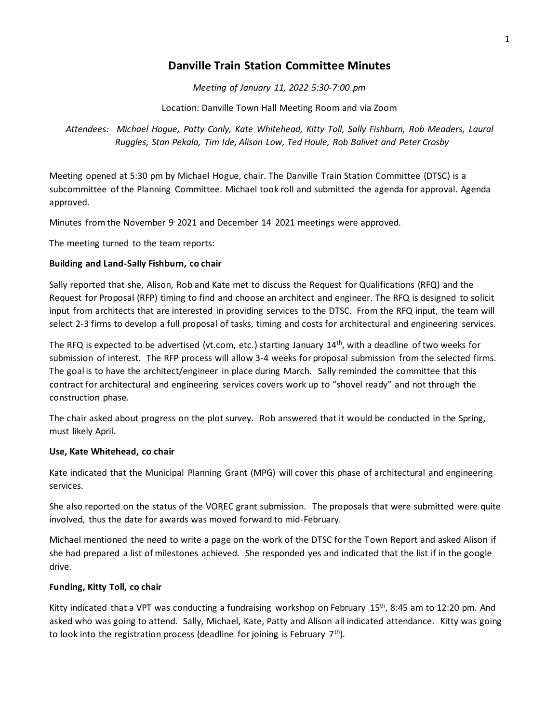## **Danville Train Station Committee Minutes**

*Meeting of January 11, 2022 5:30-7:00 pm*

Location: Danville Town Hall Meeting Room and via Zoom

*Attendees: Michael Hogue, Patty Conly, Kate Whitehead, Kitty Toll, Sally Fishburn, Rob Meaders, Laural Ruggles, Stan Pekala, Tim Ide, Alison Low, Ted Houle, Rob Balivet and Peter Crosby* 

Meeting opened at 5:30 pm by Michael Hogue, chair. The Danville Train Station Committee (DTSC) is a subcommittee of the Planning Committee. Michael took roll and submitted the agenda for approval. Agenda approved.

Minutes from the November 9 2021 and December 14 2021 meetings were approved.

The meeting turned to the team reports:

## **Building and Land-Sally Fishburn, co chair**

Sally reported that she, Alison, Rob and Kate met to discuss the Request for Qualifications (RFQ) and the Request for Proposal (RFP) timing to find and choose an architect and engineer. The RFQ is designed to solicit input from architects that are interested in providing services to the DTSC. From the RFQ input, the team will select 2-3 firms to develop a full proposal of tasks, timing and costs for architectural and engineering services.

The RFQ is expected to be advertised (vt.com, etc.) starting January  $14<sup>th</sup>$ , with a deadline of two weeks for submission of interest. The RFP process will allow 3-4 weeks for proposal submission from the selected firms. The goal is to have the architect/engineer in place during March. Sally reminded the committee that this contract for architectural and engineering services covers work up to "shovel ready" and not through the construction phase.

The chair asked about progress on the plot survey. Rob answered that it would be conducted in the Spring, must likely April.

## **Use, Kate Whitehead, co chair**

Kate indicated that the Municipal Planning Grant (MPG) will cover this phase of architectural and engineering services.

She also reported on the status of the VOREC grant submission. The proposals that were submitted were quite involved, thus the date for awards was moved forward to mid-February.

Michael mentioned the need to write a page on the work of the DTSC for the Town Report and asked Alison if she had prepared a list of milestones achieved. She responded yes and indicated that the list if in the google drive.

## **Funding, Kitty Toll, co chair**

Kitty indicated that a VPT was conducting a fundraising workshop on February 15<sup>th</sup>, 8:45 am to 12:20 pm. And asked who was going to attend. Sally, Michael, Kate, Patty and Alison all indicated attendance. Kitty was going to look into the registration process (deadline for joining is February  $7<sup>th</sup>$ ).